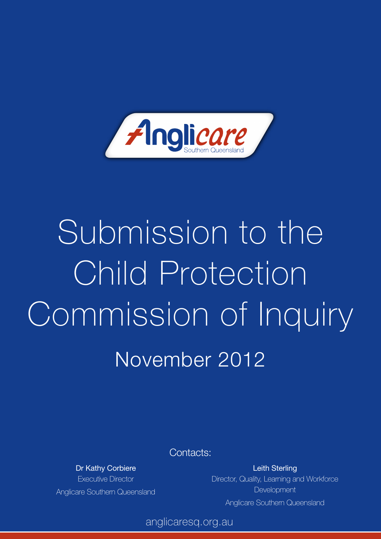

# Submission to the Child Protection Commission of Inquiry November 2012

Contacts:

Dr Kathy Corbiere Executive Director Anglicare Southern Queensland

Leith Sterling Director, Quality, Learning and Workforce **Development** Anglicare Southern Queensland

anglicaresq.org.au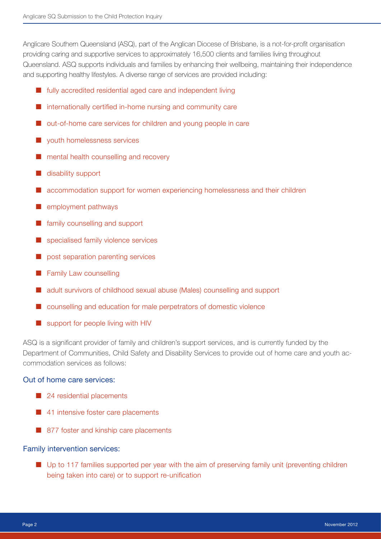Anglicare Southern Queensland (ASQ), part of the Anglican Diocese of Brisbane, is a not-for-profit organisation providing caring and supportive services to approximately 16,500 clients and families living throughout Queensland. ASQ supports individuals and families by enhancing their wellbeing, maintaining their independence and supporting healthy lifestyles. A diverse range of services are provided including:

- $\blacksquare$  fully accredited residential aged care and independent living
- $\blacksquare$  internationally certified in-home nursing and community care
- $\blacksquare$  out-of-home care services for children and young people in care
- $\blacksquare$  vouth homelessness services
- $\blacksquare$  mental health counselling and recovery
- $\blacksquare$  disability support
- $\blacksquare$  accommodation support for women experiencing homelessness and their children
- $\blacksquare$  employment pathways
- $\blacksquare$  family counselling and support
- specialised family violence services
- ¢ post separation parenting services
- $\blacksquare$  Family Law counselling
- $\blacksquare$  adult survivors of childhood sexual abuse (Males) counselling and support
- $\blacksquare$  counselling and education for male perpetrators of domestic violence
- $\blacksquare$  support for people living with HIV

ASQ is a significant provider of family and children's support services, and is currently funded by the Department of Communities, Child Safety and Disability Services to provide out of home care and youth accommodation services as follows:

#### Out of home care services:

- 24 residential placements
- 41 intensive foster care placements
- $\blacksquare$  877 foster and kinship care placements

#### Family intervention services:

■ Up to 117 families supported per year with the aim of preserving family unit (preventing children being taken into care) or to support re-unification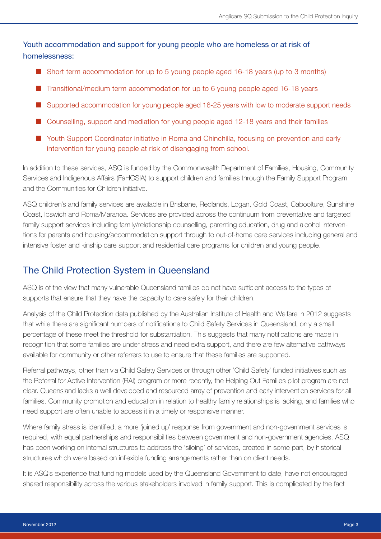Youth accommodation and support for young people who are homeless or at risk of homelessness:

- $\blacksquare$  Short term accommodation for up to 5 young people aged 16-18 years (up to 3 months)
- $\blacksquare$  Transitional/medium term accommodation for up to 6 young people aged 16-18 years
- $\blacksquare$  Supported accommodation for young people aged 16-25 years with low to moderate support needs
- Counselling, support and mediation for young people aged 12-18 years and their families
- Youth Support Coordinator initiative in Roma and Chinchilla, focusing on prevention and early intervention for young people at risk of disengaging from school.

In addition to these services, ASQ is funded by the Commonwealth Department of Families, Housing, Community Services and Indigenous Affairs (FaHCSIA) to support children and families through the Family Support Program and the Communities for Children initiative.

ASQ children's and family services are available in Brisbane, Redlands, Logan, Gold Coast, Caboolture, Sunshine Coast, Ipswich and Roma/Maranoa. Services are provided across the continuum from preventative and targeted family support services including family/relationship counselling, parenting education, drug and alcohol interventions for parents and housing/accommodation support through to out-of-home care services including general and intensive foster and kinship care support and residential care programs for children and young people.

# The Child Protection System in Queensland

ASQ is of the view that many vulnerable Queensland families do not have sufficient access to the types of supports that ensure that they have the capacity to care safely for their children.

Analysis of the Child Protection data published by the Australian Institute of Health and Welfare in 2012 suggests that while there are significant numbers of notifications to Child Safety Services in Queensland, only a small percentage of these meet the threshold for substantiation. This suggests that many notifications are made in recognition that some families are under stress and need extra support, and there are few alternative pathways available for community or other referrers to use to ensure that these families are supported.

Referral pathways, other than via Child Safety Services or through other 'Child Safety' funded initiatives such as the Referral for Active Intervention (RAI) program or more recently, the Helping Out Families pilot program are not clear. Queensland lacks a well developed and resourced array of prevention and early intervention services for all families. Community promotion and education in relation to healthy family relationships is lacking, and families who need support are often unable to access it in a timely or responsive manner.

Where family stress is identified, a more 'joined up' response from government and non-government services is required, with equal partnerships and responsibilities between government and non-government agencies. ASQ has been working on internal structures to address the 'siloing' of services, created in some part, by historical structures which were based on inflexible funding arrangements rather than on client needs.

It is ASQ's experience that funding models used by the Queensland Government to date, have not encouraged shared responsibility across the various stakeholders involved in family support. This is complicated by the fact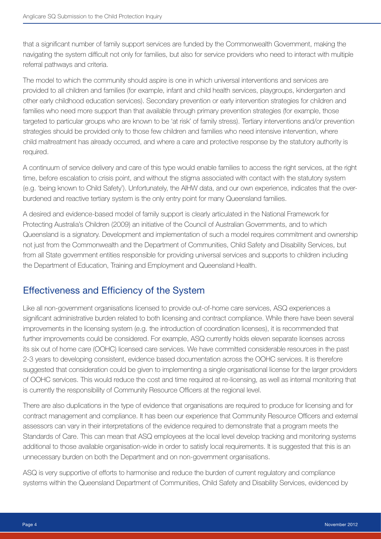that a significant number of family support services are funded by the Commonwealth Government, making the navigating the system difficult not only for families, but also for service providers who need to interact with multiple referral pathways and criteria.

The model to which the community should aspire is one in which universal interventions and services are provided to all children and families (for example, infant and child health services, playgroups, kindergarten and other early childhood education services). Secondary prevention or early intervention strategies for children and families who need more support than that available through primary prevention strategies (for example, those targeted to particular groups who are known to be 'at risk' of family stress). Tertiary interventions and/or prevention strategies should be provided only to those few children and families who need intensive intervention, where child maltreatment has already occurred, and where a care and protective response by the statutory authority is required.

A continuum of service delivery and care of this type would enable families to access the right services, at the right time, before escalation to crisis point, and without the stigma associated with contact with the statutory system (e.g. 'being known to Child Safety'). Unfortunately, the AIHW data, and our own experience, indicates that the overburdened and reactive tertiary system is the only entry point for many Queensland families.

A desired and evidence-based model of family support is clearly articulated in the National Framework for Protecting Australia's Children (2009) an initiative of the Council of Australian Governments, and to which Queensland is a signatory. Development and implementation of such a model requires commitment and ownership not just from the Commonwealth and the Department of Communities, Child Safety and Disability Services, but from all State government entities responsible for providing universal services and supports to children including the Department of Education, Training and Employment and Queensland Health.

# Effectiveness and Efficiency of the System

Like all non-government organisations licensed to provide out-of-home care services, ASQ experiences a significant administrative burden related to both licensing and contract compliance. While there have been several improvements in the licensing system (e.g. the introduction of coordination licenses), it is recommended that further improvements could be considered. For example, ASQ currently holds eleven separate licenses across its six out of home care (OOHC) licensed care services. We have committed considerable resources in the past 2-3 years to developing consistent, evidence based documentation across the OOHC services. It is therefore suggested that consideration could be given to implementing a single organisational license for the larger providers of OOHC services. This would reduce the cost and time required at re-licensing, as well as internal monitoring that is currently the responsibility of Community Resource Officers at the regional level.

There are also duplications in the type of evidence that organisations are required to produce for licensing and for contract management and compliance. It has been our experience that Community Resource Officers and external assessors can vary in their interpretations of the evidence required to demonstrate that a program meets the Standards of Care. This can mean that ASQ employees at the local level develop tracking and monitoring systems additional to those available organisation-wide in order to satisfy local requirements. It is suggested that this is an unnecessary burden on both the Department and on non-government organisations.

ASQ is very supportive of efforts to harmonise and reduce the burden of current regulatory and compliance systems within the Queensland Department of Communities, Child Safety and Disability Services, evidenced by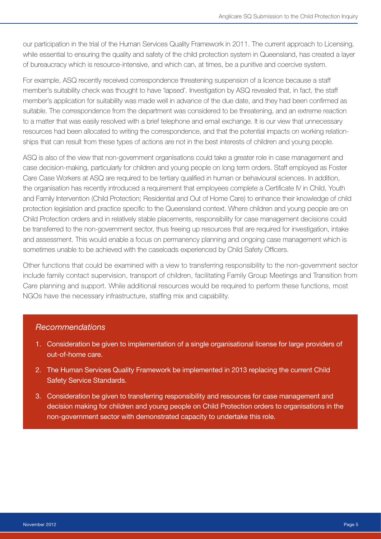our participation in the trial of the Human Services Quality Framework in 2011. The current approach to Licensing, while essential to ensuring the quality and safety of the child protection system in Queensland, has created a layer of bureaucracy which is resource-intensive, and which can, at times, be a punitive and coercive system.

For example, ASQ recently received correspondence threatening suspension of a licence because a staff member's suitability check was thought to have 'lapsed'. Investigation by ASQ revealed that, in fact, the staff member's application for suitability was made well in advance of the due date, and they had been confirmed as suitable. The correspondence from the department was considered to be threatening, and an extreme reaction to a matter that was easily resolved with a brief telephone and email exchange. It is our view that unnecessary resources had been allocated to writing the correspondence, and that the potential impacts on working relationships that can result from these types of actions are not in the best interests of children and young people.

ASQ is also of the view that non-government organisations could take a greater role in case management and case decision-making, particularly for children and young people on long term orders. Staff employed as Foster Care Case Workers at ASQ are required to be tertiary qualified in human or behavioural sciences. In addition, the organisation has recently introduced a requirement that employees complete a Certificate IV in Child, Youth and Family Intervention (Child Protection; Residential and Out of Home Care) to enhance their knowledge of child protection legislation and practice specific to the Queensland context. Where children and young people are on Child Protection orders and in relatively stable placements, responsibility for case management decisions could be transferred to the non-government sector, thus freeing up resources that are required for investigation, intake and assessment. This would enable a focus on permanency planning and ongoing case management which is sometimes unable to be achieved with the caseloads experienced by Child Safety Officers.

Other functions that could be examined with a view to transferring responsibility to the non-government sector include family contact supervision, transport of children, facilitating Family Group Meetings and Transition from Care planning and support. While additional resources would be required to perform these functions, most NGOs have the necessary infrastructure, staffing mix and capability.

## *Recommendations*

- 1. Consideration be given to implementation of a single organisational license for large providers of out-of-home care.
- 2. The Human Services Quality Framework be implemented in 2013 replacing the current Child Safety Service Standards.
- 3. Consideration be given to transferring responsibility and resources for case management and decision making for children and young people on Child Protection orders to organisations in the non-government sector with demonstrated capacity to undertake this role.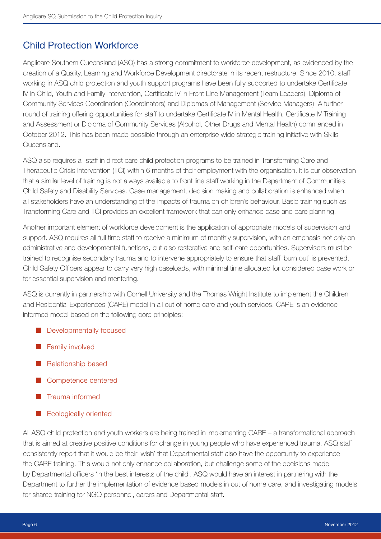# Child Protection Workforce

Anglicare Southern Queensland (ASQ) has a strong commitment to workforce development, as evidenced by the creation of a Quality, Learning and Workforce Development directorate in its recent restructure. Since 2010, staff working in ASQ child protection and youth support programs have been fully supported to undertake Certificate IV in Child, Youth and Family Intervention, Certificate IV in Front Line Management (Team Leaders), Diploma of Community Services Coordination (Coordinators) and Diplomas of Management (Service Managers). A further round of training offering opportunities for staff to undertake Certificate IV in Mental Health, Certificate IV Training and Assessment or Diploma of Community Services (Alcohol, Other Drugs and Mental Health) commenced in October 2012. This has been made possible through an enterprise wide strategic training initiative with Skills Queensland.

ASQ also requires all staff in direct care child protection programs to be trained in Transforming Care and Therapeutic Crisis Intervention (TCI) within 6 months of their employment with the organisation. It is our observation that a similar level of training is not always available to front line staff working in the Department of Communities, Child Safety and Disability Services. Case management, decision making and collaboration is enhanced when all stakeholders have an understanding of the impacts of trauma on children's behaviour. Basic training such as Transforming Care and TCI provides an excellent framework that can only enhance case and care planning.

Another important element of workforce development is the application of appropriate models of supervision and support. ASQ requires all full time staff to receive a minimum of monthly supervision, with an emphasis not only on administrative and developmental functions, but also restorative and self-care opportunities. Supervisors must be trained to recognise secondary trauma and to intervene appropriately to ensure that staff 'burn out' is prevented. Child Safety Officers appear to carry very high caseloads, with minimal time allocated for considered case work or for essential supervision and mentoring.

ASQ is currently in partnership with Cornell University and the Thomas Wright Institute to implement the Children and Residential Experiences (CARE) model in all out of home care and youth services. CARE is an evidenceinformed model based on the following core principles:

- **E** Developmentally focused
- **Examily involved**
- $\blacksquare$  Relationship based
- Competence centered
- ¢ Trauma informed
- Ecologically oriented

All ASQ child protection and youth workers are being trained in implementing CARE – a transformational approach that is aimed at creative positive conditions for change in young people who have experienced trauma. ASQ staff consistently report that it would be their 'wish' that Departmental staff also have the opportunity to experience the CARE training. This would not only enhance collaboration, but challenge some of the decisions made by Departmental officers 'in the best interests of the child'. ASQ would have an interest in partnering with the Department to further the implementation of evidence based models in out of home care, and investigating models for shared training for NGO personnel, carers and Departmental staff.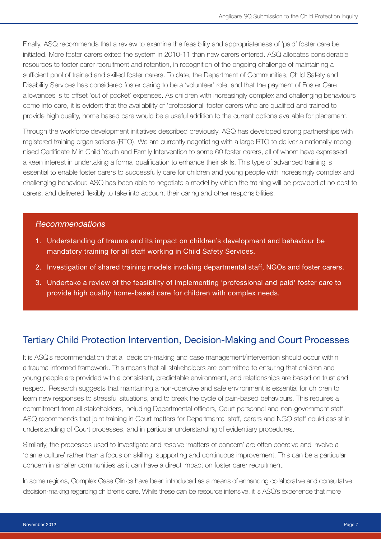Finally, ASQ recommends that a review to examine the feasibility and appropriateness of 'paid' foster care be initiated. More foster carers exited the system in 2010-11 than new carers entered. ASQ allocates considerable resources to foster carer recruitment and retention, in recognition of the ongoing challenge of maintaining a sufficient pool of trained and skilled foster carers. To date, the Department of Communities, Child Safety and Disability Services has considered foster caring to be a 'volunteer' role, and that the payment of Foster Care allowances is to offset 'out of pocket' expenses. As children with increasingly complex and challenging behaviours come into care, it is evident that the availability of 'professional' foster carers who are qualified and trained to provide high quality, home based care would be a useful addition to the current options available for placement.

Through the workforce development initiatives described previously, ASQ has developed strong partnerships with registered training organisations (RTO). We are currently negotiating with a large RTO to deliver a nationally-recognised Certificate IV in Child Youth and Family Intervention to some 60 foster carers, all of whom have expressed a keen interest in undertaking a formal qualification to enhance their skills. This type of advanced training is essential to enable foster carers to successfully care for children and young people with increasingly complex and challenging behaviour. ASQ has been able to negotiate a model by which the training will be provided at no cost to carers, and delivered flexibly to take into account their caring and other responsibilities.

## *Recommendations*

- 1. Understanding of trauma and its impact on children's development and behaviour be mandatory training for all staff working in Child Safety Services.
- 2. Investigation of shared training models involving departmental staff, NGOs and foster carers.
- 3. Undertake a review of the feasibility of implementing 'professional and paid' foster care to provide high quality home-based care for children with complex needs.

# Tertiary Child Protection Intervention, Decision-Making and Court Processes

It is ASQ's recommendation that all decision-making and case management/intervention should occur within a trauma informed framework. This means that all stakeholders are committed to ensuring that children and young people are provided with a consistent, predictable environment, and relationships are based on trust and respect. Research suggests that maintaining a non-coercive and safe environment is essential for children to learn new responses to stressful situations, and to break the cycle of pain-based behaviours. This requires a commitment from all stakeholders, including Departmental officers, Court personnel and non-government staff. ASQ recommends that joint training in Court matters for Departmental staff, carers and NGO staff could assist in understanding of Court processes, and in particular understanding of evidentiary procedures.

Similarly, the processes used to investigate and resolve 'matters of concern' are often coercive and involve a 'blame culture' rather than a focus on skilling, supporting and continuous improvement. This can be a particular concern in smaller communities as it can have a direct impact on foster carer recruitment.

In some regions, Complex Case Clinics have been introduced as a means of enhancing collaborative and consultative decision-making regarding children's care. While these can be resource intensive, it is ASQ's experience that more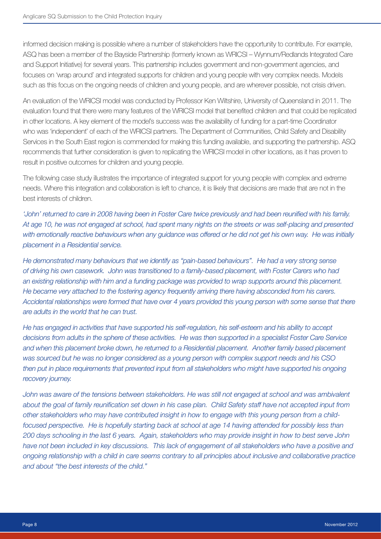informed decision making is possible where a number of stakeholders have the opportunity to contribute. For example, ASQ has been a member of the Bayside Partnership (formerly known as WRICSI – Wynnum/Redlands Integrated Care and Support Initiative) for several years. This partnership includes government and non-government agencies, and focuses on 'wrap around' and integrated supports for children and young people with very complex needs. Models such as this focus on the ongoing needs of children and young people, and are wherever possible, not crisis driven.

An evaluation of the WRICSI model was conducted by Professor Ken Wiltshire, University of Queensland in 2011. The evaluation found that there were many features of the WRICSI model that benefited children and that could be replicated in other locations. A key element of the model's success was the availability of funding for a part-time Coordinator who was 'independent' of each of the WRICSI partners. The Department of Communities, Child Safety and Disability Services in the South East region is commended for making this funding available, and supporting the partnership. ASQ recommends that further consideration is given to replicating the WRICSI model in other locations, as it has proven to result in positive outcomes for children and young people.

The following case study illustrates the importance of integrated support for young people with complex and extreme needs. Where this integration and collaboration is left to chance, it is likely that decisions are made that are not in the best interests of children.

*'John' returned to care in 2008 having been in Foster Care twice previously and had been reunified with his family. At age 10, he was not engaged at school, had spent many nights on the streets or was self-placing and presented*  with emotionally reactive behaviours when any quidance was offered or he did not get his own way. He was initially *placement in a Residential service.* 

*He demonstrated many behaviours that we identify as "pain-based behaviours". He had a very strong sense of driving his own casework. John was transitioned to a family-based placement, with Foster Carers who had an existing relationship with him and a funding package was provided to wrap supports around this placement. He became very attached to the fostering agency frequently arriving there having absconded from his carers. Accidental relationships were formed that have over 4 years provided this young person with some sense that there are adults in the world that he can trust.* 

*He has engaged in activities that have supported his self-regulation, his self-esteem and his ability to accept decisions from adults in the sphere of these activities. He was then supported in a specialist Foster Care Service and when this placement broke down, he returned to a Residential placement. Another family based placement was sourced but he was no longer considered as a young person with complex support needs and his CSO*  then put in place requirements that prevented input from all stakeholders who might have supported his ongoing *recovery journey.* 

*John was aware of the tensions between stakeholders. He was still not engaged at school and was ambivalent about the goal of family reunification set down in his case plan. Child Safety staff have not accepted input from other stakeholders who may have contributed insight in how to engage with this young person from a childfocused perspective. He is hopefully starting back at school at age 14 having attended for possibly less than 200 days schooling in the last 6 years. Again, stakeholders who may provide insight in how to best serve John have not been included in key discussions. This lack of engagement of all stakeholders who have a positive and ongoing relationship with a child in care seems contrary to all principles about inclusive and collaborative practice and about "the best interests of the child."*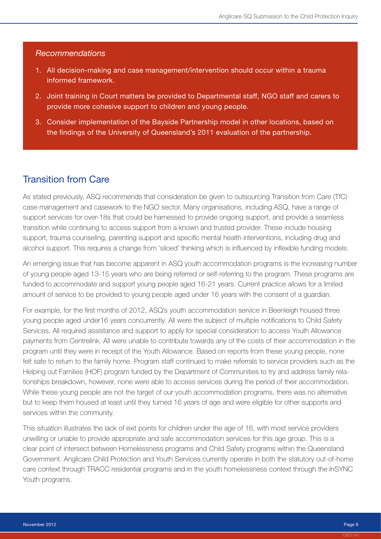## *Recommendations*

- 1. All decision-making and case management/intervention should occur within a trauma informed framework.
- 2. Joint training in Court matters be provided to Departmental staff, NGO staff and carers to provide more cohesive support to children and young people.
- 3. Consider implementation of the Bayside Partnership model in other locations, based on the findings of the University of Queensland's 2011 evaluation of the partnership.

## Transition from Care

As stated previously, ASQ recommends that consideration be given to outsourcing Transition from Care (TfC) case management and casework to the NGO sector. Many organisations, including ASQ, have a range of support services for over-18s that could be harnessed to provide ongoing support, and provide a seamless transition while continuing to access support from a known and trusted provider. These include housing support, trauma counseling, parenting support and specific mental health interventions, including drug and alcohol support. This requires a change from 'siloed' thinking which is influenced by inflexible funding models.

An emerging issue that has become apparent in ASQ youth accommodation programs is the increasing number of young people aged 13-15 years who are being referred or self-referring to the program. These programs are funded to accommodate and support young people aged 16-21 years. Current practice allows for a limited amount of service to be provided to young people aged under 16 years with the consent of a guardian.

For example, for the first months of 2012, ASQ's youth accommodation service in Beenleigh housed three young people aged under16 years concurrently. All were the subject of multiple notifications to Child Safety Services. All required assistance and support to apply for special consideration to access Youth Allowance payments from Centrelink. All were unable to contribute towards any of the costs of their accommodation in the program until they were in receipt of the Youth Allowance. Based on reports from these young people, none felt safe to return to the family home. Program staff continued to make referrals to service providers such as the Helping out Families (HOF) program funded by the Department of Communities to try and address family relationships breakdown, however, none were able to access services during the period of their accommodation. While these young people are not the target of our youth accommodation programs, there was no alternative but to keep them housed at least until they turned 16 years of age and were eligible for other supports and services within the community.

This situation illustrates the lack of exit points for children under the age of 16, with most service providers unwilling or unable to provide appropriate and safe accommodation services for this age group. This is a clear point of intersect between Homelessness programs and Child Safety programs within the Queensland Government. Anglicare Child Protection and Youth Services currently operate in both the statutory out-of-home care context through TRACC residential programs and in the youth homelessness context through the InSYNC Youth programs.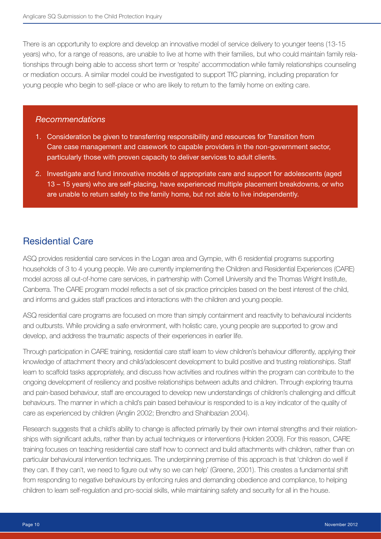There is an opportunity to explore and develop an innovative model of service delivery to younger teens (13-15 years) who, for a range of reasons, are unable to live at home with their families, but who could maintain family relationships through being able to access short term or 'respite' accommodation while family relationships counseling or mediation occurs. A similar model could be investigated to support TfC planning, including preparation for young people who begin to self-place or who are likely to return to the family home on exiting care.

## *Recommendations*

- 1. Consideration be given to transferring responsibility and resources for Transition from Care case management and casework to capable providers in the non-government sector, particularly those with proven capacity to deliver services to adult clients.
- 2. Investigate and fund innovative models of appropriate care and support for adolescents (aged 13 – 15 years) who are self-placing, have experienced multiple placement breakdowns, or who are unable to return safely to the family home, but not able to live independently.

## Residential Care

ASQ provides residential care services in the Logan area and Gympie, with 6 residential programs supporting households of 3 to 4 young people. We are currently implementing the Children and Residential Experiences (CARE) model across all out-of-home care services, in partnership with Cornell University and the Thomas Wright Institute, Canberra. The CARE program model reflects a set of six practice principles based on the best interest of the child, and informs and guides staff practices and interactions with the children and young people.

ASQ residential care programs are focused on more than simply containment and reactivity to behavioural incidents and outbursts. While providing a safe environment, with holistic care, young people are supported to grow and develop, and address the traumatic aspects of their experiences in earlier life.

Through participation in CARE training, residential care staff learn to view children's behaviour differently, applying their knowledge of attachment theory and child/adolescent development to build positive and trusting relationships. Staff learn to scaffold tasks appropriately, and discuss how activities and routines within the program can contribute to the ongoing development of resiliency and positive relationships between adults and children. Through exploring trauma and pain-based behaviour, staff are encouraged to develop new understandings of children's challenging and difficult behaviours. The manner in which a child's pain based behaviour is responded to is a key indicator of the quality of care as experienced by children (Anglin 2002; Brendtro and Shahbazian 2004).

Research suggests that a child's ability to change is affected primarily by their own internal strengths and their relationships with significant adults, rather than by actual techniques or interventions (Holden 2009). For this reason, CARE training focuses on teaching residential care staff how to connect and build attachments with children, rather than on particular behavioural intervention techniques. The underpinning premise of this approach is that 'children do well if they can. If they can't, we need to figure out why so we can help' (Greene, 2001). This creates a fundamental shift from responding to negative behaviours by enforcing rules and demanding obedience and compliance, to helping children to learn self-regulation and pro-social skills, while maintaining safety and security for all in the house.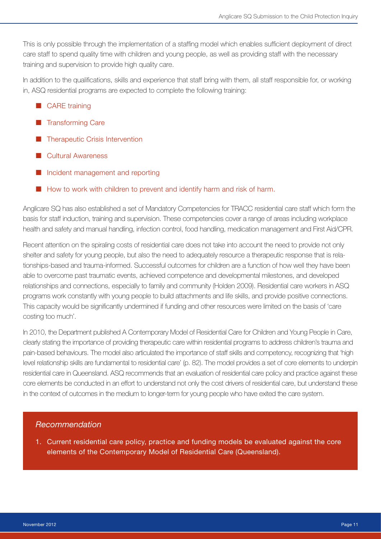This is only possible through the implementation of a staffing model which enables sufficient deployment of direct care staff to spend quality time with children and young people, as well as providing staff with the necessary training and supervision to provide high quality care.

In addition to the qualifications, skills and experience that staff bring with them, all staff responsible for, or working in, ASQ residential programs are expected to complete the following training:

- $\blacksquare$  CARE training
- **E** Transforming Care
- **Therapeutic Crisis Intervention**
- ¢ Cultural Awareness
- $\blacksquare$  Incident management and reporting
- $\blacksquare$  How to work with children to prevent and identify harm and risk of harm.

Anglicare SQ has also established a set of Mandatory Competencies for TRACC residential care staff which form the basis for staff induction, training and supervision. These competencies cover a range of areas including workplace health and safety and manual handling, infection control, food handling, medication management and First Aid/CPR.

Recent attention on the spiraling costs of residential care does not take into account the need to provide not only shelter and safety for young people, but also the need to adequately resource a therapeutic response that is relationships-based and trauma-informed. Successful outcomes for children are a function of how well they have been able to overcome past traumatic events, achieved competence and developmental milestones, and developed relationships and connections, especially to family and community (Holden 2009). Residential care workers in ASQ programs work constantly with young people to build attachments and life skills, and provide positive connections. This capacity would be significantly undermined if funding and other resources were limited on the basis of 'care costing too much'.

In 2010, the Department published A Contemporary Model of Residential Care for Children and Young People in Care, clearly stating the importance of providing therapeutic care within residential programs to address children's trauma and pain-based behaviours. The model also articulated the importance of staff skills and competency, recognizing that 'high level relationship skills are fundamental to residential care' (p. 82). The model provides a set of core elements to underpin residential care in Queensland. ASQ recommends that an evaluation of residential care policy and practice against these core elements be conducted in an effort to understand not only the cost drivers of residential care, but understand these in the context of outcomes in the medium to longer-term for young people who have exited the care system.

## *Recommendation*

1. Current residential care policy, practice and funding models be evaluated against the core elements of the Contemporary Model of Residential Care (Queensland).